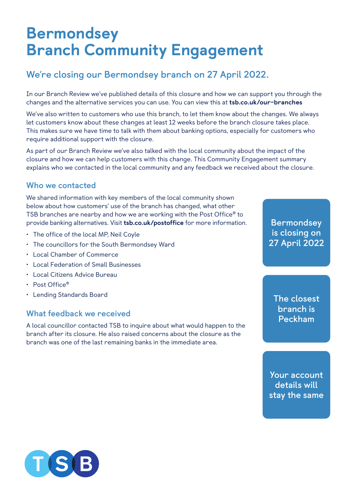# Bermondsey Branch Community Engagement

## **We're closing our Bermondsey branch on 27 April 2022.**

In our Branch Review we've published details of this closure and how we can support you through the changes and the alternative services you can use. You can view this at [tsb.co.uk/our-branches](http://tsb.co.uk/our-branches)

We've also written to customers who use this branch, to let them know about the changes. We always let customers know about these changes at least 12 weeks before the branch closure takes place. This makes sure we have time to talk with them about banking options, especially for customers who require additional support with the closure.

As part of our Branch Review we've also talked with the local community about the impact of the closure and how we can help customers with this change. This Community Engagement summary explains who we contacted in the local community and any feedback we received about the closure.

#### **Who we contacted**

We shared information with key members of the local community shown below about how customers' use of the branch has changed, what other TSB branches are nearby and how we are working with the Post Office® to provide banking alternatives. Visit [tsb.co.uk/postoffice](http://tsb.co.uk/postoffice) for more information.

- The office of the local MP, Neil Coyle
- The councillors for the South Bermondsey Ward
- Local Chamber of Commerce
- Local Federation of Small Businesses
- Local Citizens Advice Bureau
- Post Office®
- Lending Standards Board

#### **What feedback we received**

A local councillor contacted TSB to inquire about what would happen to the branch after its closure. He also raised concerns about the closure as the branch was one of the last remaining banks in the immediate area.

**Bermondsey is closing on 27 April 2022**

**The closest branch is Peckham**

**Your account details will stay the same**